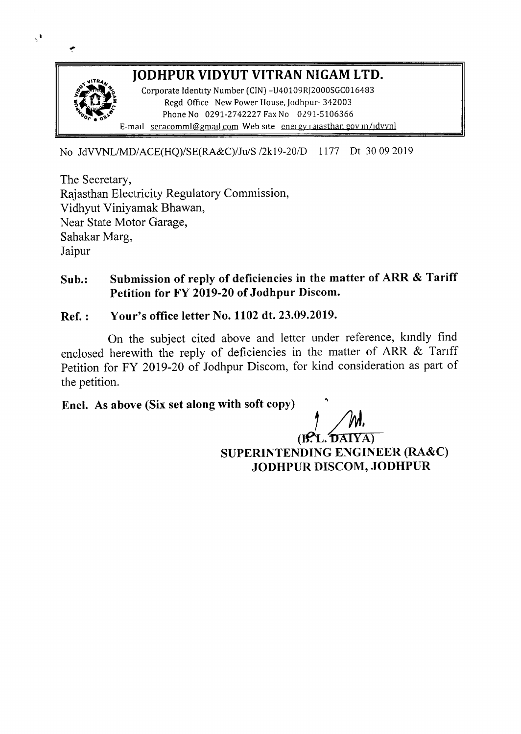

No JdVVNLlMD/ACE(HQ)/SE(RA&C)/Ju/S /2kI9-20/D 1177 Dt 30092019

The Secretary, Rajasthan Electricity Regulatory Commission, Vidhyut Viniyamak Bhawan, Near State Motor Garage, Sahakar Marg, Jaipur

 $\overline{1}$ 

 $\mathbf{C}$ 

## Sub.: Submission of reply of deficiencies in the matter of ARR & Tariff Petition for FY 2019-20 of Jodhpur Discom.

#### Ref. : Your's office letter No. 1102dt. 23.09.2019.

On the subject cited above and letter under reference, kmdly find enclosed herewith the reply of deficiencies in the matter of ARR & Tariff Petition for FY 2019-20 of Jodhpur Discom, for kind consideration as part of the petition.

## Encl. As above (Six set along with soft copy)

 $(B. L. DANTA)$ SUPERINTENDING ENGINEER (RA&C) JODHPUR DISCOM, JODHPUR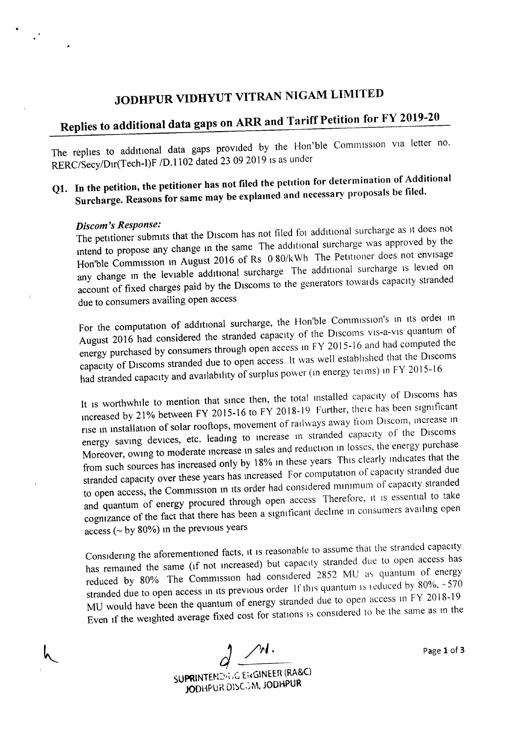## JODHPUR VIDHYUT VITRAN NIGAM LIMITED

# Replies to additional data gaps on ARR and Tariff Petition for FY 2019-20

The replies to additional data gaps provided by the Hon'ble Commission via letter no. RERC/Secy/Dir(Tech-I)F /D.1102 dated 23 09 2019 is as under

## Q1. In the petition, the petitioner has not filed the petition for determination of Additional Surcharge. Reasons for same may be explamed and necessary proposals be filed.

#### *Discom's Response:*

 $\mathcal{A}^{\star}$ 

The petitioner submits that the Discom has not filed for additional surcharge as it does not mtend to propose any change m the same The additIOnal surcharge was approved by the Hon'ble Commission in August 2016 of Rs 0 80/kWh The Petitioner does not envisage any change in the leviable additional surcharge The additional surcharge is levied on account of fixed charges paid by the Discoms to the generators towards capacity stranded due to consumers availing open access

For the computation of additional surcharge, the Hon'ble Commission's in its order in August 2016 had considered the stranded capacity of the Discoms vis-a-vis quantum of energy purchased by consumers through open access m FY 2015-16 and had computed the capacity of Discoms stranded due to open access It was well established that the Discoms had stranded capacity and availability of surplus power (in energy terms) in FY 2015-16

It is worthwhile to mention that since then, the total installed capacity of Discoms has mcreased by 21% between FY 2015-16 to FY 2018-19 Further, there has been srgmficant rise in installation of solar rooftops, movement of railways away from Discom, increase in energy saving devices, etc. leading to increase in stranded capacity of the Discoms Moreover, owing to moderate Increase in sales and reduction m losses, the energy purchase from such sources has increased only by 18% in these years This clearly mdicates that the stranded capacity over these years has increased For computation of capacity stranded due to open access, the Commission in its order had considered minimum of capacity stranded and quantum of energy procured through open access Therefore, it is essential to take cognizance of the fact that there has been a significant decline in consumers availing open access (~ by 80%) m the previous years

Considering the aforementioned facts, it is reasonable to assume that the stranded capacity has remained the same (if not increased) but capacity stranded due to open access has reduced by 80% The Commission had considered 2852 MU as quantum of energy stranded due to open access in its previous order If this quantum is reduced by  $80\%$ , ~570 MU would have been the quantum of energy stranded due to open access in FY 2018-19 Even if the weighted average fixed cost for stations is considered to be the same as in the

*d /,1.* SUPRINTEND.i.G Ei«GINEER (RA&C) JODHPUR DISCOM, JODHPUR

Page 1 of 3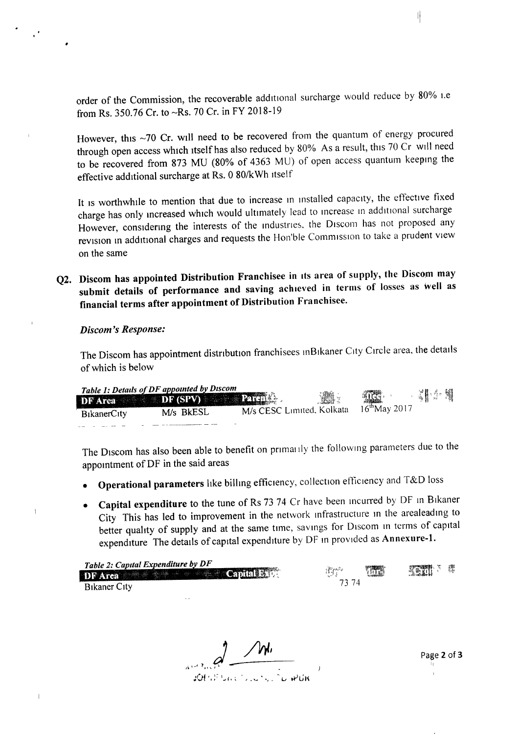order of the Commission, the recoverable addruonal surcharge would reduce by 80% i.e from Rs. 350.76 Cr. to ~Rs. 70 Cr. in FY 2018-19

However, this ~70 Cr. will need to be recovered from the quantum of energy procured through open access which itself has also reduced by 80% As a result, this 70 Cr will need to be recovered from 873 MU (80% of 4363 MU) of open access quantum keeping the effective additional surcharge at Rs. 0 80/kWh itself

It is worthwhile to mention that due to increase in installed capacity, the effective fixed charge has only mcreased which would ultimately lead to increase In additional surcharge However, considering the interests of the industries, the Discom has not proposed any revision m addrtional charges and requests the Hon'ble Commission to take a prudent view on the same

Q2. Discom has appointed Distribution Franchisee in its area of supply, the Discom may submit details of performance and saving achieved in terms of losses as well as financial terms after appointment of Distribution Franchisee.

#### *Discom's Response:*

 $\mathbf{1}$ 

 $\parallel$ 

The Discom has appointment distribution franchisees inBikaner City Circle area, the details of which is below

|                                              | Table 1: Details of DF appointed by Discom<br>DF Area DF (SPV) Parents | <b>The Figure</b>         |                           | <b>一、 是其</b> 为 的。 |
|----------------------------------------------|------------------------------------------------------------------------|---------------------------|---------------------------|-------------------|
| <b>B</b> <sub>1</sub> kanerC <sub>1</sub> ty | M/s BkESL                                                              | M/s CESC Limited, Kolkata | $16^{\text{th}}$ May 2017 |                   |
|                                              |                                                                        |                           |                           |                   |

The Discom has also been able to benefit on primarily the following parameters due to the appomtment of DF in the said areas

- Operational parameters hke billmg efficiency, collection efficiency and T&0 loss
- Capital expenditure to the tune of Rs 73 74 Cr have been incurred by DF in Bikaner City This has led to improvement in the network infrastructure in the arealeading to better quality of supply and at the same time, savings for Discom in terms of capital expenditure The details of capital expenditure by DF in provided as Annexure-1.

| Table 2: Capital Expenditure by DF<br>DF Area <b>Martin America Capital Batt</b> | TATE<br>$\prod_{i=1}^{n} \prod_{i=1}^{n} \mathcal{C}^{(i)}$ | <b>REALLY</b> |
|----------------------------------------------------------------------------------|-------------------------------------------------------------|---------------|
| <b>B</b> <sub>i</sub> kaner C <sub>ity</sub>                                     |                                                             |               |

*) /hI1*  $1,1,2,1,1$ 

Page 2 of 3

II

Η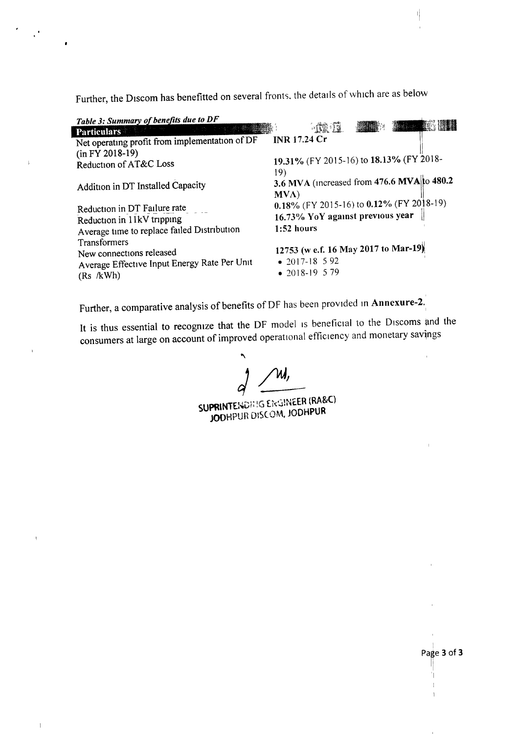Further, the Discom has benefitted on several fronts, the details of which are as below

 $\overline{\phantom{a}}$ 

 $\mathbf{r}$ 

 $\bar{1}$ 

| 3.6 MVA (increased from 476.6 MVA to 480.2                                                                                                                                |
|---------------------------------------------------------------------------------------------------------------------------------------------------------------------------|
| 0.18% (FY 2015-16) to 0.12% (FY 2018-19)                                                                                                                                  |
|                                                                                                                                                                           |
|                                                                                                                                                                           |
|                                                                                                                                                                           |
| $-0.02$<br>19.31% (FY 2015-16) to 18.13% (FY 2018-<br>16.73% YoY against previous year<br>12753 (w e.f. 16 May 2017 to Mar-19)<br>$\bullet$ 2017-18 592<br>• 2018-19 5 79 |

Further, a comparative analysis of benefits of DF has been provided in Annexure-2.

It is thus essential to recognize that the DF model IS beneficial to the Discoms and the consumers at large on account of improved operational efficiency and monetary savings

*r) /WI*

SUPRINTENDE IG ENGINEER (RA&C) JODHPUR DIS(OM. JODHPUR

II

파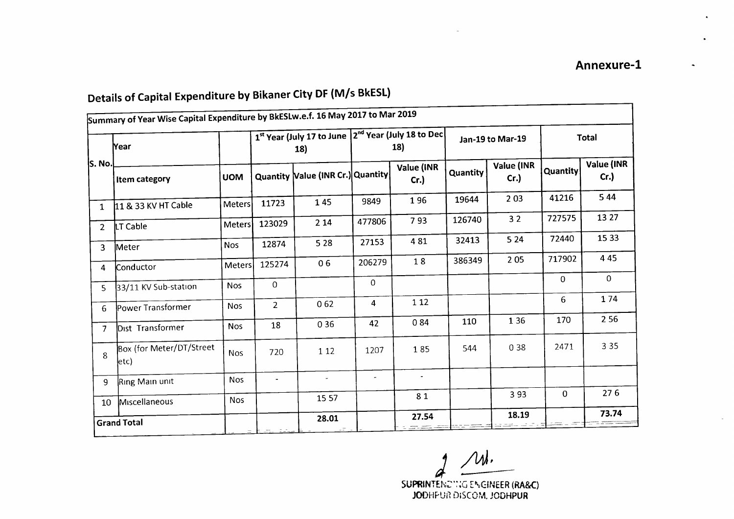#### Summary of Year Wise Capital Expenditure by BkESLw.e.f. 16 May 2017 to Mar 2019 **Year**  $\left\{\n \begin{array}{c}\n 1^{st} \text{Year (July 17 to June } 2^{nd} \text{ Year (July 18 to Dec } 1) \\
18\n \end{array}\n \right.\n \quad\n \left.\n \begin{array}{c}\n 1 \text{Year (July 18 to Dec } 1) \\
18\n \end{array}\n \right\}\n \quad\n \text{Total}\n \quad\n \left.\n \begin{array}{c}\n 1 \text{Year (July 18 to Dec } 1)\n \end{array}\n \right\}\n \quad\n \text{Total}\n \quad\n \left.\n \begin{array}{c}\n 1 \text{Year (July 19 to Mor } 1)\n \end{array}\n \right\}\n \$ 18) 18) S.No.  $\vert$  Item category  $\vert$  UOM  $\vert$  Quantity  $\vert$  Value (INR Cr.) Quantity Value (INR Quantity Value (INR Quantity Value (INR  $\begin{bmatrix}$   $\begin{bmatrix}$   $\begin{bmatrix} 0 & 1 \end{bmatrix}$   $\begin{bmatrix} 0 & 1 \end{bmatrix}$   $\begin{bmatrix} 0 & 1 \end{bmatrix}$   $\begin{bmatrix} 0 & 1 \end{bmatrix}$   $\begin{bmatrix} 0 & 1 \end{bmatrix}$   $\begin{bmatrix} 0 & 1 \end{bmatrix}$   $\begin{bmatrix} 0 & 1 \end{bmatrix}$   $\begin{bmatrix} 0 & 1 \end{bmatrix}$   $\begin{bmatrix} 0 & 1 \end{bmatrix}$   $\begin{bmatrix} 0 & 1 \end{bmatrix}$   $\begin$ 1 11& 33 KV HT Cable Meters 11723 145 9849 196 19644 203 41216 544 <sup>2</sup> LTCable Meters <sup>123029</sup> <sup>214</sup> <sup>477806</sup> <sup>793</sup> <sup>126740</sup> <sup>32</sup> <sup>727575</sup> <sup>13</sup> <sup>27</sup> 3 Meter Nos 12874 528 27153 481 32413 524 72440 1533 <sup>4</sup> !conductor Meters <sup>125274</sup> <sup>06</sup> <sup>206279</sup> <sup>18</sup> <sup>386349</sup> <sup>205</sup> <sup>717902</sup> <sup>445</sup> <sup>5</sup> 33/11 KVSub-station Nos <sup>0</sup> <sup>0</sup>  $0 \quad 0$ <sup>6</sup> PowerTransformer Nos <sup>2</sup> <sup>062</sup> <sup>4</sup> <sup>112</sup> <sup>6</sup> <sup>174</sup> <sup>7</sup> orsr Transformer Nos <sup>18</sup> <sup>036</sup> <sup>42</sup> <sup>084</sup> <sup>110</sup> <sup>136</sup> <sup>170</sup> <sup>256</sup> 8 Box (for Meter/DT/Street Nos 120 120 1207 185 544 038 2471 335 etc) <sup>9</sup> RingMain unit Nos - - - - 10 Miscellaneous Nos 1557 81 393 0 276 GrandTotal 28.01 27.54 18.19 73.74  $_-\models$   $\pm$ -  $27.54$ -\_ ~----- - =--c~ \_\_ <sup>C</sup> \_- - <sup>=</sup> -- - I-==-c:c ;::---- - - \_ -~--

## Details of Capital Expenditure by Bikaner City DF (M/s BkESL)

*) /1M.* SUPRINTENCING ENGINEER (RA&C)

JODHFUR DISCOM. JODHPUR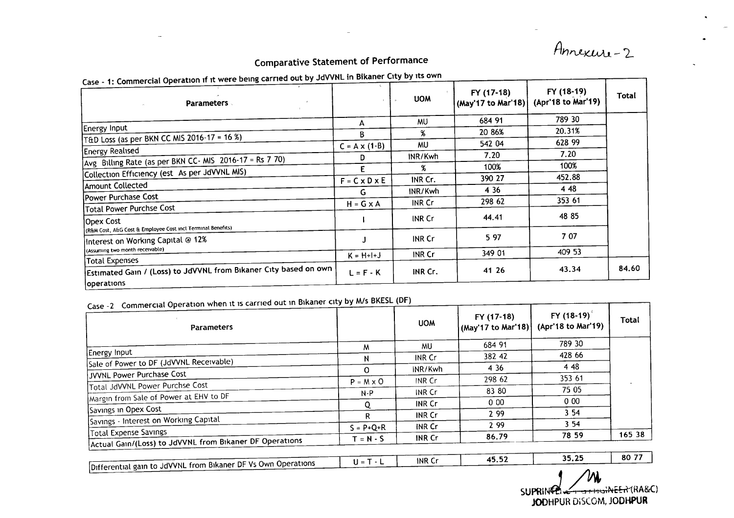Annexens-2

## Comparative Statement of Performance

| Case - 1: Commercial Operation if it were being carried out by JdVVNL in Bikaner City by its own |                           |               |                                  |                                  |       |
|--------------------------------------------------------------------------------------------------|---------------------------|---------------|----------------------------------|----------------------------------|-------|
| <b>Parameters</b>                                                                                |                           | <b>UOM</b>    | FY (17-18)<br>(May'17 to Mar'18) | FY (18-19)<br>(Apr'18 to Mar'19) | Total |
|                                                                                                  | А                         | MU.           | 684 91                           | 789 30                           |       |
| Energy Input                                                                                     | B                         | Х.            | 20 86%                           | 20.31%                           |       |
| [T&D Loss (as per BKN CC MIS 2016-17 = 16 %)                                                     |                           |               | 542 04                           | 628 99                           |       |
| <b>Energy Realised</b>                                                                           | $C = A \times (1-B)$      | <b>MU</b>     |                                  | 7.20                             |       |
| Avg Billing Rate (as per BKN CC- MIS 2016-17 = Rs 7 70)                                          | D                         | INR/Kwh       | 7.20                             |                                  |       |
| Collection Efficiency (est As per JdVVNL MIS)                                                    | Ε                         | Х.            | 100%                             | 100%                             |       |
|                                                                                                  | $F = C \times D \times E$ | INR Cr.       | 390 27                           | 452.88                           |       |
| Amount Collected                                                                                 | G.                        | INR/Kwh       | 4 3 6                            | 4 4 8                            |       |
| Power Purchase Cost                                                                              |                           | INR Cr        | 298 62                           | 353 61                           |       |
| Total Power Purchse Cost                                                                         | $H = G \times A$          |               |                                  |                                  |       |
| Opex Cost<br>(R&M Cost, A&G Cost & Employee Cost incl Terminal Benefits)                         |                           | INR Cr        | 44.41                            | 48 85                            |       |
| Interest on Working Capital @ 12%                                                                |                           | <b>INR Cr</b> | 5 97                             | 7 07                             |       |
| (Assuming two month receivable)                                                                  | $K = H + I + J$           | <b>INR Cr</b> | 349 01                           | 409 53                           |       |
| <b>Total Expenses</b>                                                                            |                           |               |                                  |                                  |       |
| Estimated Gain / (Loss) to JdVVNL from Bikaner City based on own                                 | $L = F - K$               | INR Cr.       | 41 26                            | 43.34                            | 84.60 |
| operations                                                                                       |                           |               |                                  |                                  |       |

## -2 Commercial Operation when it is carried out in Bikaner city by M/s BKESL (DF)

| $\frac{2}{3}$ Commercial Operation when it is carried $\frac{2}{3}$<br><b>Parameters</b> |                  | <b>UOM</b>    | FY (17-18)<br>(May'17 to Mar'18) | FY (18-19) <sup><math>\degree</math></sup><br>(Apr'18 to Mar'19) | Total  |
|------------------------------------------------------------------------------------------|------------------|---------------|----------------------------------|------------------------------------------------------------------|--------|
|                                                                                          | м                | <b>MU</b>     | 684 91                           | 789 30                                                           |        |
| Energy Input                                                                             | N                | <b>INR Cr</b> | 382 42                           | 428 66                                                           |        |
| Sale of Power to DF (JdVVNL Receivable)                                                  | 0                | INR/Kwh       | 4 3 6                            | 4 4 8                                                            |        |
| JVVNL Power Purchase Cost                                                                | $P = M \times Q$ | INR Cr        | 298 62                           | 353 61                                                           |        |
| Total JdVVNL Power Purchse Cost                                                          | $N - P$          | INR Cr        | 83 80                            | 75 05                                                            |        |
| Margin from Sale of Power at EHV to DF                                                   | 0                | <b>INR Cr</b> | 000                              | 000                                                              |        |
| Savings in Opex Cost                                                                     | R.               | INR Cr        | 2 9 9                            | 354                                                              |        |
| Savings - Interest on Working Capital                                                    |                  | INR Cr        | 2 9 9                            | 354                                                              |        |
| Total Expense Savings                                                                    | $S = P + Q + R$  |               | 86.79                            | 78 59                                                            | 165 38 |
| Actual Gain/(Loss) to JdVVNL from Bikaner DF Operations                                  | $T = N - S$      | <b>INR Cr</b> |                                  |                                                                  |        |
|                                                                                          | $U = T - L$      | <b>INR Cr</b> | 45.52                            | 35.25                                                            | 80 77  |
| Differential gain to JdVVNL from Bikaner DF Vs Own Operations                            |                  |               |                                  | $\mathbf{A}$ $\mathbf{A}$                                        |        |

'W,  $SUPRINQ$ JODHPUR D'S(OM, JODHPUR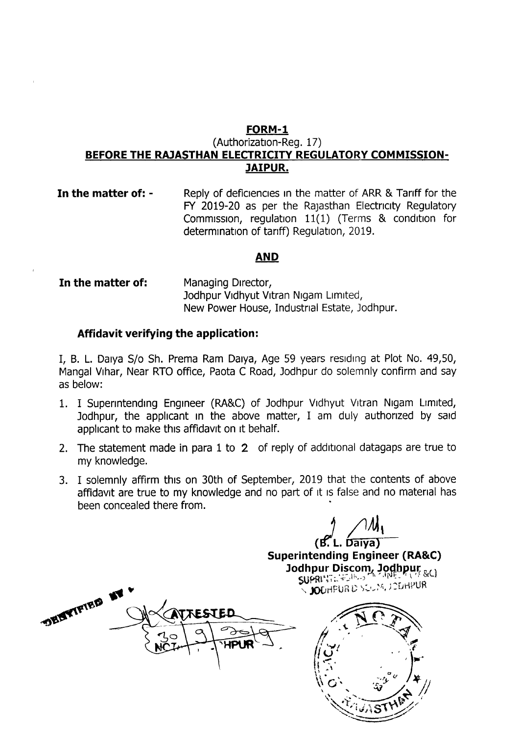## **FORM-l**

#### (Authorization-Reg. 17) **BEFORE THE RAJASTHAN ELECTRICITY REGULATORY COMMISSION-JAIPUR.**

**In the matter of: -** Reply of deficiencies in the matter of ARR & Tariff for the FY 2019-20 as per the Rajasthan Electncity Regulatory Commission, regulation 11(1) (Terms & condition for determination of tanff) Regulation, 2019.

#### **AND**

**In the matter of:** Managing Director, Jodhpur Vidhyut Vitran Nigam Limited, New Power House, Industrial Estate, Jodhpur.

#### **Affidavit verifying the application:**

I, B. L. Daiva 5/0 Sh. Prema Ram Daiva, Age 59 years residing at Plot No. 49,50, Mangal Vihar, Near RTO office, Paota C Road, Jodhpur do solemnly confirm and say as below:

- 1. I Superintending Engineer (RA&C) of Jodhpur Vidhyut Vitran Nigam Limited, Jodhpur, the applicant in the above matter, I am duly authorized by said applicant to make this affidavit on it behalf.
- 2. The statement made in para 1 to 2 of reply of additional datagaps are true to my knowledge.
- 3. I solemnly affirm this on 30th of September, <sup>2019</sup> that the contents of above affidavit are true to my knowledge and no part of it is false and no material has been concealed there from.

 $(B<sup>l</sup>$ L. Daiya)

**Superintending Engineer (RA&C)** Jodhpur Discom, Jodhpur &()  $\sim$ **JO**DHPUR D SEUM, JODHPUR

DENTIFIED IN **TTESTED**